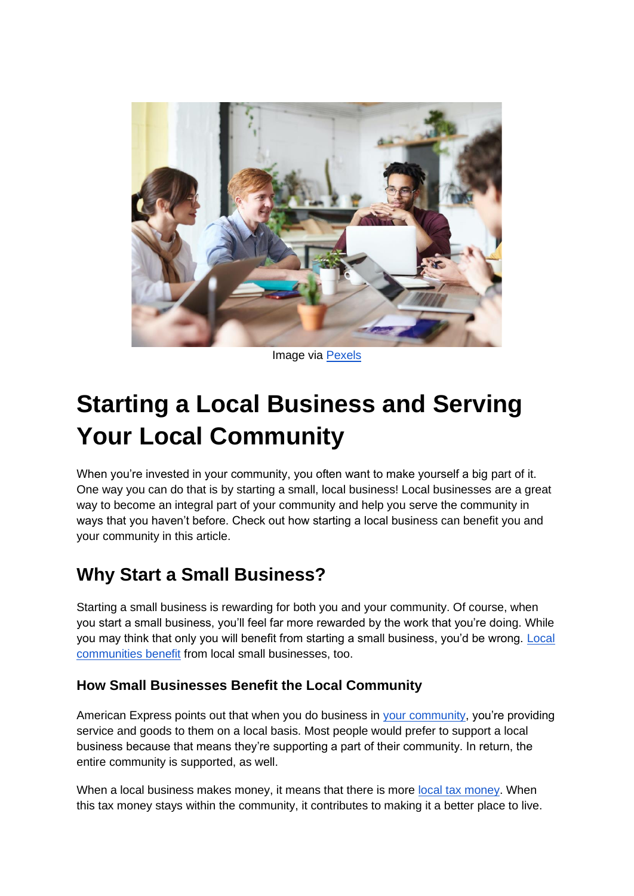

Image via [Pexels](https://www.pexels.com/photo/gorup-of-employees-working-together-3182759/)

# **Starting a Local Business and Serving Your Local Community**

When you're invested in your community, you often want to make yourself a big part of it. One way you can do that is by starting a small, local business! Local businesses are a great way to become an integral part of your community and help you serve the community in ways that you haven't before. Check out how starting a local business can benefit you and your community in this article.

## **Why Start a Small Business?**

Starting a small business is rewarding for both you and your community. Of course, when you start a small business, you'll feel far more rewarded by the work that you're doing. While you may think that only you will benefit from starting a small business, you'd be wrong[.](https://medium.com/@BBBNWP/10-ways-small-businesses-benefit-their-local-communities-7273380c90a9) [Local](https://medium.com/@BBBNWP/10-ways-small-businesses-benefit-their-local-communities-7273380c90a9)  [communities benefit](https://medium.com/@BBBNWP/10-ways-small-businesses-benefit-their-local-communities-7273380c90a9) from local small businesses, too.

### **How Small Businesses Benefit the Local Community**

America[n](https://www.americanexpress.com/en-us/business/trends-and-insights/articles/8-ways-small-businesses-help-communities-1/) Express points out that when you do business in [your community,](https://www.americanexpress.com/en-us/business/trends-and-insights/articles/8-ways-small-businesses-help-communities-1/) you're providing service and goods to them on a local basis. Most people would prefer to support a local business because that means they're supporting a part of their community. In return, the entire community is supported, as well.

Wh[e](https://smallbusiness.chron.com/advantages-businesses-local-economy-3289.html#:~:text=Local%20Tax%20Income,schools%20and%20improve%20public%20services.)n a local business makes money, it means that there is more [local tax money.](https://smallbusiness.chron.com/advantages-businesses-local-economy-3289.html#:~:text=Local%20Tax%20Income,schools%20and%20improve%20public%20services.) When this tax money stays within the community, it contributes to making it a better place to live.